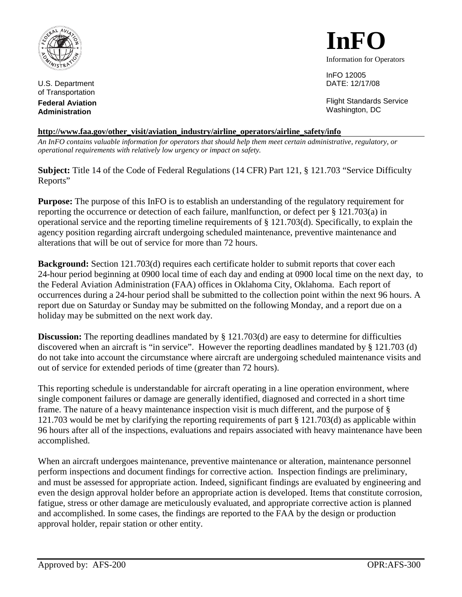

U.S. Department of Transportation **Federal Aviation**

**Administration**

## $\mathbf{InF}$ Information for Operators

InFO 12005 DATE: 12/17/08

Flight Standards Service Washington, DC

## **[http://www.faa.gov/other\\_visit/aviation\\_industry/airline\\_operators/airline\\_safety/info](http://www.faa.gov/other_visit/aviation_industry/airline_operators/airline_safety/info)**

*An InFO contains valuable information for operators that should help them meet certain administrative, regulatory, or operational requirements with relatively low urgency or impact on safety.*

**Subject:** Title 14 of the Code of Federal Regulations (14 CFR) Part 121, § 121.703 "Service Difficulty Reports"

**Purpose:** The purpose of this InFO is to establish an understanding of the regulatory requirement for reporting the occurrence or detection of each failure, manlfunction, or defect per § 121.703(a) in operational service and the reporting timeline requirements of § 121.703(d). Specifically, to explain the agency position regarding aircraft undergoing scheduled maintenance, preventive maintenance and alterations that will be out of service for more than 72 hours.

**Background:** Section 121.703(d) requires each certificate holder to submit reports that cover each 24-hour period beginning at 0900 local time of each day and ending at 0900 local time on the next day, to the Federal Aviation Administration (FAA) offices in Oklahoma City, Oklahoma. Each report of occurrences during a 24-hour period shall be submitted to the collection point within the next 96 hours. A report due on Saturday or Sunday may be submitted on the following Monday, and a report due on a holiday may be submitted on the next work day.

**Discussion:** The reporting deadlines mandated by § 121.703(d) are easy to determine for difficulties discovered when an aircraft is "in service". However the reporting deadlines mandated by § 121.703 (d) do not take into account the circumstance where aircraft are undergoing scheduled maintenance visits and out of service for extended periods of time (greater than 72 hours).

This reporting schedule is understandable for aircraft operating in a line operation environment, where single component failures or damage are generally identified, diagnosed and corrected in a short time frame. The nature of a heavy maintenance inspection visit is much different, and the purpose of § 121.703 would be met by clarifying the reporting requirements of part § 121.703(d) as applicable within 96 hours after all of the inspections, evaluations and repairs associated with heavy maintenance have been accomplished.

When an aircraft undergoes maintenance, preventive maintenance or alteration, maintenance personnel perform inspections and document findings for corrective action. Inspection findings are preliminary, and must be assessed for appropriate action. Indeed, significant findings are evaluated by engineering and even the design approval holder before an appropriate action is developed. Items that constitute corrosion, fatigue, stress or other damage are meticulously evaluated, and appropriate corrective action is planned and accomplished. In some cases, the findings are reported to the FAA by the design or production approval holder, repair station or other entity.